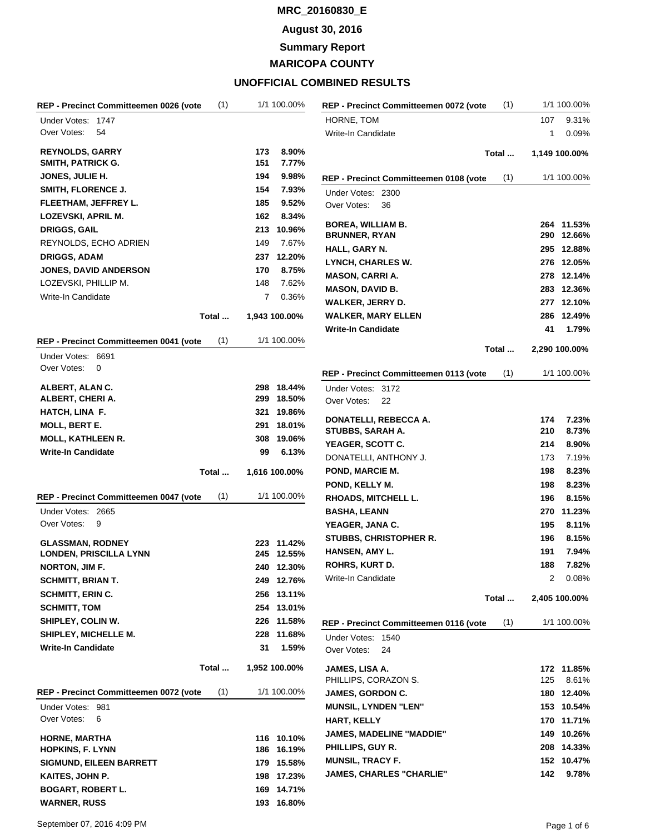## **August 30, 2016**

**Summary Report**

**MARICOPA COUNTY**

| (1)<br>REP - Precinct Committeemen 0026 (vote            |     | 1/1 100.00%              | REP - Precinct Committeemen 0072 (vote    | (1)   |            | 1/1 100.00%         |
|----------------------------------------------------------|-----|--------------------------|-------------------------------------------|-------|------------|---------------------|
| Under Votes: 1747                                        |     |                          | HORNE, TOM                                |       | 107        | 9.31%               |
| Over Votes:<br>54                                        |     |                          | Write-In Candidate                        |       | 1          | 0.09%               |
| <b>REYNOLDS, GARRY</b>                                   | 173 | 8.90%                    |                                           | Total |            | 1,149 100.00%       |
| <b>SMITH, PATRICK G.</b>                                 | 151 | 7.77%                    |                                           |       |            |                     |
| <b>JONES, JULIE H.</b>                                   | 194 | 9.98%                    | REP - Precinct Committeemen 0108 (vote    | (1)   |            | 1/1 100.00%         |
| SMITH, FLORENCE J.                                       | 154 | 7.93%                    | Under Votes: 2300                         |       |            |                     |
| FLEETHAM, JEFFREY L.                                     | 185 | 9.52%                    | Over Votes:<br>36                         |       |            |                     |
| LOZEVSKI, APRIL M.                                       | 162 | 8.34%                    | <b>BOREA, WILLIAM B.</b>                  |       |            | 264 11.53%          |
| <b>DRIGGS, GAIL</b>                                      |     | 213 10.96%               | <b>BRUNNER, RYAN</b>                      |       |            | 290 12.66%          |
| REYNOLDS, ECHO ADRIEN                                    | 149 | 7.67%                    | HALL, GARY N.                             |       | 295        | 12.88%              |
| <b>DRIGGS, ADAM</b>                                      |     | 237 12.20%               | LYNCH, CHARLES W.                         |       |            | 276 12.05%          |
| <b>JONES, DAVID ANDERSON</b>                             | 170 | 8.75%                    | <b>MASON, CARRI A.</b>                    |       |            | 278 12.14%          |
| LOZEVSKI, PHILLIP M.                                     | 148 | 7.62%                    | <b>MASON, DAVID B.</b>                    |       |            | 283 12.36%          |
| Write-In Candidate                                       | 7   | 0.36%                    | <b>WALKER, JERRY D.</b>                   |       |            | 277 12.10%          |
| Total                                                    |     | 1,943 100.00%            | <b>WALKER, MARY ELLEN</b>                 |       |            | 286 12.49%          |
|                                                          |     |                          | <b>Write-In Candidate</b>                 |       | 41         | 1.79%               |
| (1)<br>REP - Precinct Committeemen 0041 (vote            |     | 1/1 100.00%              |                                           |       |            |                     |
| Under Votes: 6691                                        |     |                          |                                           | Total |            | 2,290 100.00%       |
| Over Votes:<br>0                                         |     |                          | REP - Precinct Committeemen 0113 (vote    | (1)   |            | 1/1 100.00%         |
| ALBERT, ALAN C.                                          |     | 298 18.44%               | Under Votes: 3172                         |       |            |                     |
| ALBERT, CHERI A.                                         |     | 299 18.50%               | Over Votes:<br>22                         |       |            |                     |
| HATCH, LINA F.                                           |     | 321 19.86%               |                                           |       |            |                     |
| <b>MOLL, BERT E.</b>                                     |     | 291 18.01%               | DONATELLI, REBECCA A.<br>STUBBS, SARAH A. |       | 174<br>210 | 7.23%<br>8.73%      |
| <b>MOLL, KATHLEEN R.</b>                                 |     | 308 19.06%               | YEAGER, SCOTT C.                          |       | 214        | 8.90%               |
| <b>Write-In Candidate</b>                                | 99  | 6.13%                    | DONATELLI, ANTHONY J.                     |       | 173        | 7.19%               |
| Total                                                    |     | 1,616 100.00%            | POND, MARCIE M.                           |       | 198        | 8.23%               |
|                                                          |     |                          | POND, KELLY M.                            |       | 198        | 8.23%               |
| REP - Precinct Committeemen 0047 (vote<br>(1)            |     | 1/1 100.00%              | <b>RHOADS, MITCHELL L.</b>                |       | 196        | 8.15%               |
| Under Votes: 2665                                        |     |                          | <b>BASHA, LEANN</b>                       |       | 270        | 11.23%              |
| Over Votes:<br>9                                         |     |                          | YEAGER, JANA C.                           |       | 195        | 8.11%               |
|                                                          |     |                          | STUBBS, CHRISTOPHER R.                    |       | 196        | 8.15%               |
| <b>GLASSMAN, RODNEY</b><br><b>LONDEN, PRISCILLA LYNN</b> |     | 223 11.42%<br>245 12.55% | HANSEN, AMY L.                            |       | 191        | 7.94%               |
| NORTON, JIM F.                                           |     | 240 12.30%               | <b>ROHRS, KURT D.</b>                     |       | 188        | 7.82%               |
| <b>SCHMITT, BRIAN T.</b>                                 |     | 249 12.76%               | Write-In Candidate                        |       | 2          | 0.08%               |
| <b>SCHMITT, ERIN C.</b>                                  |     | 256 13.11%               |                                           |       |            |                     |
| <b>SCHMITT, TOM</b>                                      |     | 254 13.01%               |                                           | Total |            | 2,405 100.00%       |
| SHIPLEY, COLIN W.                                        |     | 226 11.58%               | REP - Precinct Committeemen 0116 (vote    | (1)   |            | 1/1 100.00%         |
| SHIPLEY, MICHELLE M.                                     |     | 228 11.68%               |                                           |       |            |                     |
| <b>Write-In Candidate</b>                                | 31  | 1.59%                    | Under Votes: 1540<br>Over Votes:<br>24    |       |            |                     |
| Total                                                    |     | 1,952 100.00%            |                                           |       |            |                     |
|                                                          |     |                          | JAMES, LISA A.<br>PHILLIPS, CORAZON S.    |       | 125        | 172 11.85%<br>8.61% |
| (1)<br>REP - Precinct Committeemen 0072 (vote            |     | 1/1 100.00%              | JAMES, GORDON C.                          |       | 180        | 12.40%              |
| Under Votes: 981                                         |     |                          | <b>MUNSIL, LYNDEN "LEN"</b>               |       |            | 153 10.54%          |
| Over Votes:<br>6                                         |     |                          | <b>HART, KELLY</b>                        |       |            | 170 11.71%          |
|                                                          |     |                          | <b>JAMES, MADELINE "MADDIE"</b>           |       | 149        | 10.26%              |
| <b>HORNE, MARTHA</b><br><b>HOPKINS, F. LYNN</b>          |     | 116 10.10%<br>186 16.19% | PHILLIPS, GUY R.                          |       | 208        | 14.33%              |
| <b>SIGMUND, EILEEN BARRETT</b>                           |     | 179 15.58%               | <b>MUNSIL, TRACY F.</b>                   |       |            | 152 10.47%          |
| KAITES, JOHN P.                                          |     | 198 17.23%               | <b>JAMES, CHARLES "CHARLIE"</b>           |       | 142        | 9.78%               |
| <b>BOGART, ROBERT L.</b>                                 |     | 169 14.71%               |                                           |       |            |                     |
| <b>WARNER, RUSS</b>                                      |     | 193 16.80%               |                                           |       |            |                     |
|                                                          |     |                          |                                           |       |            |                     |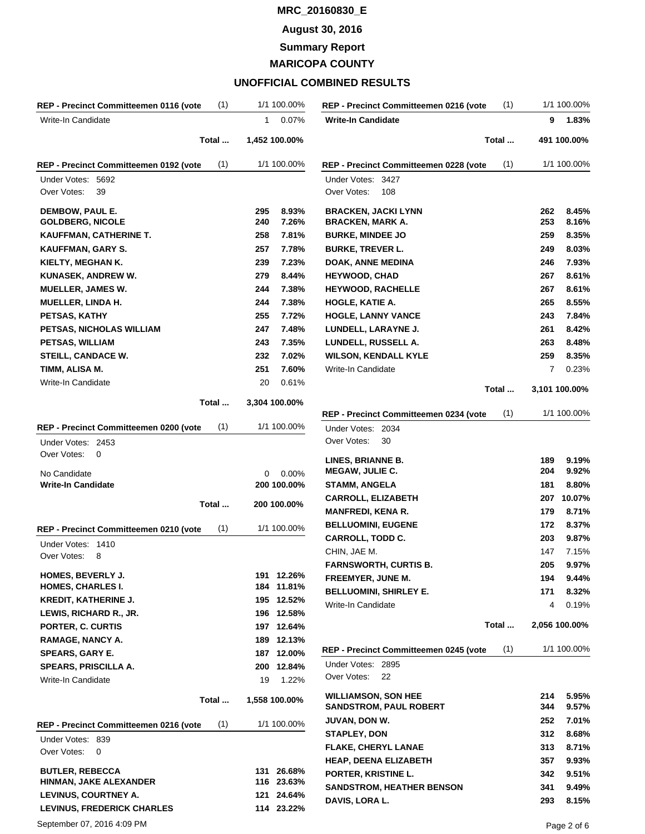### **August 30, 2016**

**Summary Report**

**MARICOPA COUNTY**

| (1)<br>REP - Precinct Committeemen 0116 (vote         | 1/1 100.00%              | (1)<br>REP - Precinct Committeemen 0216 (vote | 1/1 100.00%   |
|-------------------------------------------------------|--------------------------|-----------------------------------------------|---------------|
| Write-In Candidate                                    | $\mathbf{1}$<br>0.07%    | <b>Write-In Candidate</b>                     | 9<br>1.83%    |
| Total                                                 | 1,452 100.00%            | Total                                         | 491 100.00%   |
| (1)<br>REP - Precinct Committeemen 0192 (vote         | 1/1 100.00%              | (1)<br>REP - Precinct Committeemen 0228 (vote | 1/1 100.00%   |
| Under Votes: 5692<br>Over Votes:<br>39                |                          | Under Votes: 3427<br>Over Votes:<br>108       |               |
| DEMBOW, PAUL E.                                       | 8.93%<br>295             | <b>BRACKEN, JACKI LYNN</b>                    | 8.45%<br>262  |
| <b>GOLDBERG, NICOLE</b>                               | 7.26%<br>240             | <b>BRACKEN, MARK A.</b>                       | 253<br>8.16%  |
| KAUFFMAN, CATHERINE T.                                | 258<br>7.81%             | <b>BURKE, MINDEE JO</b>                       | 259<br>8.35%  |
| KAUFFMAN, GARY S.                                     | 257<br>7.78%             | <b>BURKE, TREVER L.</b>                       | 8.03%<br>249  |
| KIELTY, MEGHAN K.                                     | 239<br>7.23%             | <b>DOAK, ANNE MEDINA</b>                      | 7.93%<br>246  |
| KUNASEK, ANDREW W.                                    | 279<br>8.44%             | <b>HEYWOOD, CHAD</b>                          | 8.61%<br>267  |
| <b>MUELLER, JAMES W.</b>                              | 244<br>7.38%             | <b>HEYWOOD, RACHELLE</b>                      | 8.61%<br>267  |
| <b>MUELLER, LINDA H.</b>                              | 244<br>7.38%             | HOGLE, KATIE A.                               | 265<br>8.55%  |
| PETSAS, KATHY                                         | 255<br>7.72%             | <b>HOGLE, LANNY VANCE</b>                     | 243<br>7.84%  |
| PETSAS, NICHOLAS WILLIAM                              | 247<br>7.48%             | LUNDELL, LARAYNE J.                           | 8.42%<br>261  |
| <b>PETSAS, WILLIAM</b>                                | 243<br>7.35%             | LUNDELL, RUSSELL A.                           | 263<br>8.48%  |
| <b>STEILL, CANDACE W.</b>                             | 232<br>7.02%             | <b>WILSON, KENDALL KYLE</b>                   | 259<br>8.35%  |
| TIMM, ALISA M.                                        | 251<br>7.60%             | Write-In Candidate                            | 7<br>0.23%    |
| Write-In Candidate                                    | 20<br>0.61%              | Total                                         | 3,101 100.00% |
| Total                                                 | 3,304 100.00%            |                                               |               |
|                                                       |                          | (1)<br>REP - Precinct Committeemen 0234 (vote | 1/1 100.00%   |
| (1)<br>REP - Precinct Committeemen 0200 (vote         | 1/1 100.00%              | Under Votes: 2034                             |               |
| Under Votes: 2453                                     |                          | Over Votes:<br>30                             |               |
| Over Votes:<br>0                                      |                          | LINES, BRIANNE B.                             | 9.19%<br>189  |
| No Candidate                                          | 0.00%<br>0               | <b>MEGAW, JULIE C.</b>                        | 204<br>9.92%  |
| <b>Write-In Candidate</b>                             | 200 100.00%              | <b>STAMM, ANGELA</b>                          | 8.80%<br>181  |
| Total                                                 | 200 100.00%              | <b>CARROLL, ELIZABETH</b>                     | 10.07%<br>207 |
|                                                       |                          | <b>MANFREDI, KENA R.</b>                      | 179<br>8.71%  |
| (1)<br>REP - Precinct Committeemen 0210 (vote         | 1/1 100.00%              | <b>BELLUOMINI, EUGENE</b>                     | 8.37%<br>172  |
| Under Votes: 1410                                     |                          | <b>CARROLL, TODD C.</b>                       | 203<br>9.87%  |
| Over Votes:<br>8                                      |                          | CHIN, JAE M.                                  | 147<br>7.15%  |
|                                                       |                          | <b>FARNSWORTH, CURTIS B.</b>                  | 9.97%<br>205  |
| HOMES, BEVERLY J.                                     | 191 12.26%               | FREEMYER, JUNE M.                             | 194<br>9.44%  |
| <b>HOMES, CHARLES I.</b>                              | 184 11.81%               | <b>BELLUOMINI, SHIRLEY E.</b>                 | 171<br>8.32%  |
| <b>KREDIT, KATHERINE J.</b><br>LEWIS, RICHARD R., JR. | 195 12.52%<br>196 12.58% | Write-In Candidate                            | 0.19%<br>4    |
| PORTER, C. CURTIS                                     | 197 12.64%               | Total                                         | 2,056 100.00% |
| <b>RAMAGE, NANCY A.</b>                               | 189 12.13%               |                                               |               |
| <b>SPEARS, GARY E.</b>                                | 187 12.00%               | REP - Precinct Committeemen 0245 (vote<br>(1) | 1/1 100.00%   |
| SPEARS, PRISCILLA A.                                  | 200 12.84%               | Under Votes: 2895                             |               |
| Write-In Candidate                                    | 19<br>1.22%              | Over Votes:<br>22                             |               |
|                                                       |                          | <b>WILLIAMSON, SON HEE</b>                    | 5.95%<br>214  |
| Total                                                 | 1,558 100.00%            | <b>SANDSTROM, PAUL ROBERT</b>                 | 344<br>9.57%  |
| (1)<br>REP - Precinct Committeemen 0216 (vote         | 1/1 100.00%              | JUVAN, DON W.                                 | 252<br>7.01%  |
|                                                       |                          | <b>STAPLEY, DON</b>                           | 8.68%<br>312  |
| Under Votes: 839<br>Over Votes:<br>0                  |                          | FLAKE, CHERYL LANAE                           | 313<br>8.71%  |
|                                                       |                          | <b>HEAP, DEENA ELIZABETH</b>                  | 357<br>9.93%  |
| <b>BUTLER, REBECCA</b>                                | 131 26.68%               | PORTER, KRISTINE L.                           | 342<br>9.51%  |
| HINMAN, JAKE ALEXANDER                                | 116 23.63%               | <b>SANDSTROM, HEATHER BENSON</b>              | 9.49%<br>341  |
| LEVINUS, COURTNEY A.                                  | 121 24.64%               | DAVIS, LORA L.                                | 293<br>8.15%  |
| <b>LEVINUS, FREDERICK CHARLES</b>                     | 114 23.22%               |                                               |               |
| September 07, 2016 4:09 PM                            |                          |                                               | Page 2 of 6   |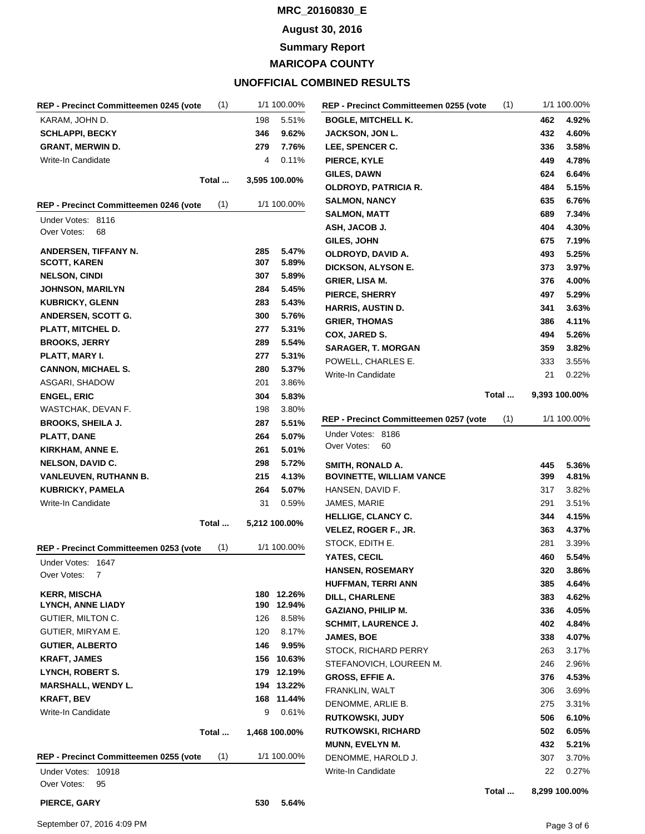### **August 30, 2016**

**Summary Report**

**MARICOPA COUNTY**

## **UNOFFICIAL COMBINED RESULTS**

| REP - Precinct Committeemen 0245 (vote                | (1)   |     | 1/1 100.00%   |
|-------------------------------------------------------|-------|-----|---------------|
| KARAM, JOHN D.                                        |       | 198 | 5.51%         |
| <b>SCHLAPPI, BECKY</b>                                |       | 346 | 9.62%         |
| <b>GRANT, MERWIN D.</b>                               |       | 279 | 7.76%         |
| Write-In Candidate                                    |       | 4   | $0.11\%$      |
|                                                       | Total |     | 3,595 100.00% |
| REP - Precinct Committeemen 0246 (vote                | (1)   |     | 1/1 100.00%   |
| Under Votes:<br>8116                                  |       |     |               |
| Over Votes:<br>68                                     |       |     |               |
| ANDERSEN, TIFFANY N.                                  |       | 285 | 5.47%         |
| <b>SCOTT, KAREN</b>                                   |       | 307 | 5.89%         |
| <b>NELSON, CINDI</b>                                  |       | 307 | 5.89%         |
| <b>JOHNSON, MARILYN</b>                               |       | 284 | 5.45%         |
| <b>KUBRICKY, GLENN</b>                                |       | 283 | 5.43%         |
| ANDERSEN, SCOTT G.                                    |       | 300 | 5.76%         |
| PLATT, MITCHEL D.                                     |       | 277 | 5.31%         |
| <b>BROOKS, JERRY</b>                                  |       | 289 | 5.54%         |
| PLATT, MARY I.                                        |       | 277 | 5.31%         |
| <b>CANNON, MICHAEL S.</b>                             |       | 280 | 5.37%         |
| ASGARI, SHADOW                                        |       | 201 | 3.86%         |
| <b>ENGEL, ERIC</b>                                    |       | 304 | 5.83%         |
| WASTCHAK, DEVAN F.                                    |       | 198 | 3.80%         |
| <b>BROOKS, SHEILA J.</b>                              |       | 287 | 5.51%         |
| PLATT, DANE                                           |       | 264 | 5.07%         |
| KIRKHAM, ANNE E.                                      |       | 261 | 5.01%         |
| <b>NELSON, DAVID C.</b>                               |       | 298 | 5.72%         |
| <b>VANLEUVEN, RUTHANN B.</b>                          |       | 215 | 4.13%         |
| <b>KUBRICKY, PAMELA</b>                               |       | 264 | 5.07%         |
| Write-In Candidate                                    |       | 31  | 0.59%         |
|                                                       | Total |     | 5,212 100.00% |
| REP - Precinct Committeemen 0253 (vote                | (1)   |     | 1/1 100.00%   |
| Under Votes:<br>1647<br>Over Votes:<br>$\overline{7}$ |       |     |               |
|                                                       |       |     |               |
| <b>KERR, MISCHA</b>                                   |       | 180 | 12.26%        |
| <b>LYNCH, ANNE LIADY</b>                              |       | 190 | 12.94%        |
| GUTIER, MILTON C.                                     |       | 126 | 8.58%         |
| GUTIER, MIRYAM E.                                     |       | 120 | 8.17%         |
| <b>GUTIER, ALBERTO</b>                                |       | 146 | 9.95%         |
| <b>KRAFT, JAMES</b>                                   |       | 156 | 10.63%        |
| LYNCH, ROBERT S.                                      |       | 179 | 12.19%        |
| <b>MARSHALL, WENDY L.</b>                             |       | 194 | 13.22%        |
| KRAFT, BEV                                            |       | 168 | 11.44%        |
| Write-In Candidate                                    |       | 9   | 0.61%         |
|                                                       | Total |     | 1,468 100.00% |
| REP - Precinct Committeemen 0255 (vote                | (1)   |     | 1/1 100.00%   |
| Under Votes:<br>10918                                 |       |     |               |
| Over Votes:<br>95                                     |       |     |               |

|                                        | (1)   |               | 1/1 100.00% |
|----------------------------------------|-------|---------------|-------------|
| <b>BOGLE, MITCHELL K.</b>              |       | 462           | 4.92%       |
| <b>JACKSON, JON L.</b>                 |       | 432           | 4.60%       |
| <b>LEE, SPENCER C.</b>                 |       | 336           | 3.58%       |
| <b>PIERCE, KYLE</b>                    |       | 449           | 4.78%       |
| <b>GILES, DAWN</b>                     |       | 624           | 6.64%       |
| OLDROYD, PATRICIA R.                   |       | 484           | 5.15%       |
| <b>SALMON, NANCY</b>                   |       | 635           | 6.76%       |
| <b>SALMON, MATT</b>                    |       | 689           | 7.34%       |
| ASH, JACOB J.                          |       | 404           | 4.30%       |
| <b>GILES, JOHN</b>                     |       | 675           | 7.19%       |
| OLDROYD, DAVID A.                      |       | 493           | 5.25%       |
| <b>DICKSON, ALYSON E.</b>              |       | 373           | 3.97%       |
| GRIER, LISA M.                         |       | 376           | 4.00%       |
| PIERCE, SHERRY                         |       | 497           | 5.29%       |
| <b>HARRIS, AUSTIN D.</b>               |       | 341           | 3.63%       |
| <b>GRIER, THOMAS</b>                   |       | 386           | 4.11%       |
| COX, JARED S.                          |       | 494           | 5.26%       |
| <b>SARAGER, T. MORGAN</b>              |       | 359           | 3.82%       |
| POWELL, CHARLES E.                     |       | 333           | 3.55%       |
| Write-In Candidate                     |       | 21            | 0.22%       |
|                                        | Total | 9,393 100.00% |             |
| REP - Precinct Committeemen 0257 (vote | (1)   |               | 1/1 100.00% |
| Under Votes:<br>8186                   |       |               |             |
| Over Votes:<br>60                      |       |               |             |
| SMITH, RONALD A.                       |       | 445           | 5.36%       |
| <b>BOVINETTE, WILLIAM VANCE</b>        |       | 399           | 4.81%       |
| HANSEN, DAVID F.                       |       | 317           | 3.82%       |
|                                        |       |               |             |
| JAMES, MARIE                           |       | 291           | 3.51%       |
| <b>HELLIGE, CLANCY C.</b>              |       | 344           | 4.15%       |
| VELEZ, ROGER F., JR.                   |       | 363           | 4.37%       |
| STOCK, EDITH E.                        |       | 281           | 3.39%       |
| YATES, CECIL                           |       | 460           | 5.54%       |
| <b>HANSEN, ROSEMARY</b>                |       | 320           | 3.86%       |
| <b>HUFFMAN, TERRI ANN</b>              |       | 385           | 4.64%       |
| <b>DILL, CHARLENE</b>                  |       | 383           | 4.62%       |
| <b>GAZIANO, PHILIP M.</b>              |       | 336           | 4.05%       |
| <b>SCHMIT. LAURENCE J.</b>             |       | 402           | 4.84%       |
| <b>JAMES, BOE</b>                      |       | 338           | 4.07%       |
| STOCK, RICHARD PERRY                   |       | 263           | 3.17%       |
| STEFANOVICH, LOUREEN M.                |       | 246           | 2.96%       |
| <b>GROSS, EFFIE A.</b>                 |       | 376           | 4.53%       |
| FRANKLIN, WALT                         |       | 306           | 3.69%       |
| DENOMME, ARLIE B.                      |       | 275           | 3.31%       |
| <b>RUTKOWSKI, JUDY</b>                 |       | 506           | 6.10%       |
| RUTKOWSKI, RICHARD                     |       | 502           | 6.05%       |
| <b>MUNN, EVELYN M.</b>                 |       | 432           | 5.21%       |
| DENOMME, HAROLD J.                     |       | 307           | 3.70%       |
| Write-In Candidate                     |       | 22            | 0.27%       |

**Total ... 8,299 100.00%**

**PIERCE, GARY 530 5.64%**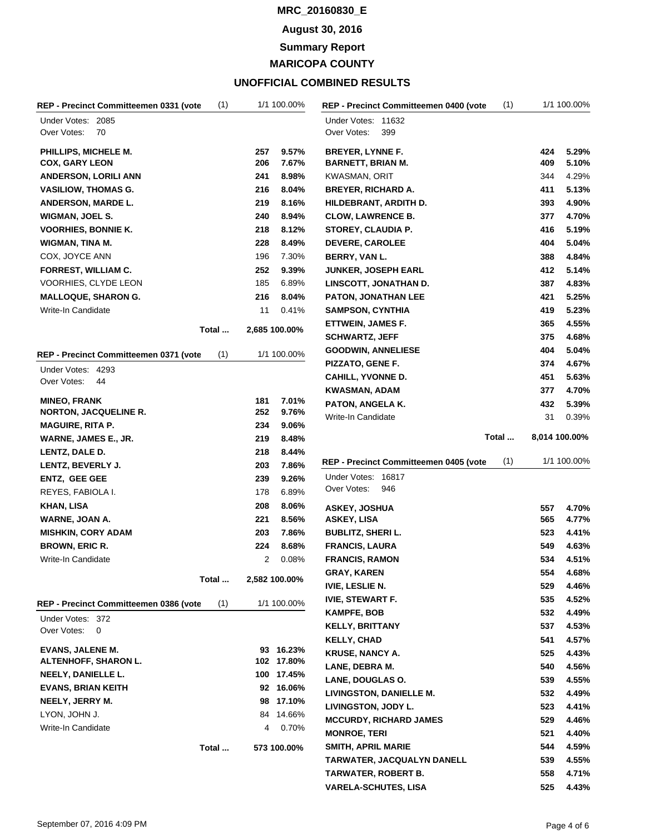### **August 30, 2016**

**Summary Report**

**MARICOPA COUNTY**

| (1)<br>REP - Precinct Committeemen 0331 (vote |     | 1/1 100.00%   | (1)<br><b>REP - Precinct Committeemen 0400 (vote</b> |     | 1/1 100.00%   |
|-----------------------------------------------|-----|---------------|------------------------------------------------------|-----|---------------|
| Under Votes: 2085<br>Over Votes:<br>70        |     |               | Under Votes: 11632<br>Over Votes:<br>399             |     |               |
| PHILLIPS, MICHELE M.                          | 257 | 9.57%         | <b>BREYER, LYNNE F.</b>                              | 424 | 5.29%         |
| <b>COX, GARY LEON</b>                         | 206 | 7.67%         | <b>BARNETT, BRIAN M.</b>                             | 409 | 5.10%         |
| <b>ANDERSON, LORILI ANN</b>                   | 241 | 8.98%         | KWASMAN, ORIT                                        | 344 | 4.29%         |
| <b>VASILIOW, THOMAS G.</b>                    | 216 | 8.04%         | <b>BREYER, RICHARD A.</b>                            | 411 | 5.13%         |
| <b>ANDERSON, MARDE L.</b>                     | 219 | 8.16%         | HILDEBRANT, ARDITH D.                                | 393 | 4.90%         |
| WIGMAN, JOEL S.                               | 240 | 8.94%         | <b>CLOW, LAWRENCE B.</b>                             | 377 | 4.70%         |
| <b>VOORHIES, BONNIE K.</b>                    | 218 | 8.12%         | <b>STOREY, CLAUDIA P.</b>                            | 416 | 5.19%         |
| <b>WIGMAN, TINA M.</b>                        | 228 | 8.49%         | <b>DEVERE, CAROLEE</b>                               | 404 | 5.04%         |
| COX, JOYCE ANN                                | 196 | 7.30%         | BERRY, VAN L.                                        | 388 | 4.84%         |
| <b>FORREST, WILLIAM C.</b>                    | 252 | 9.39%         | <b>JUNKER, JOSEPH EARL</b>                           | 412 | 5.14%         |
| VOORHIES, CLYDE LEON                          | 185 | 6.89%         | LINSCOTT, JONATHAN D.                                | 387 | 4.83%         |
| <b>MALLOQUE, SHARON G.</b>                    | 216 | 8.04%         | <b>PATON, JONATHAN LEE</b>                           | 421 | 5.25%         |
| Write-In Candidate                            | 11  | 0.41%         | <b>SAMPSON, CYNTHIA</b>                              | 419 | 5.23%         |
|                                               |     |               | ETTWEIN, JAMES F.                                    | 365 | 4.55%         |
| Total                                         |     | 2,685 100.00% | <b>SCHWARTZ, JEFF</b>                                | 375 | 4.68%         |
| (1)<br>REP - Precinct Committeemen 0371 (vote |     | 1/1 100.00%   | <b>GOODWIN, ANNELIESE</b>                            | 404 | 5.04%         |
|                                               |     |               | PIZZATO, GENE F.                                     | 374 | 4.67%         |
| Under Votes: 4293<br>Over Votes:<br>44        |     |               | CAHILL, YVONNE D.                                    | 451 | 5.63%         |
|                                               |     |               | <b>KWASMAN, ADAM</b>                                 | 377 | 4.70%         |
| <b>MINEO, FRANK</b>                           | 181 | 7.01%         | PATON, ANGELA K.                                     | 432 | 5.39%         |
| <b>NORTON, JACQUELINE R.</b>                  | 252 | 9.76%         | Write-In Candidate                                   | 31  | 0.39%         |
| <b>MAGUIRE, RITA P.</b>                       | 234 | 9.06%         |                                                      |     |               |
| WARNE, JAMES E., JR.                          | 219 | 8.48%         | Total                                                |     | 8,014 100.00% |
| LENTZ, DALE D.                                | 218 | 8.44%         |                                                      |     |               |
| LENTZ, BEVERLY J.                             | 203 | 7.86%         | (1)<br>REP - Precinct Committeemen 0405 (vote        |     | 1/1 100.00%   |
| <b>ENTZ, GEE GEE</b>                          | 239 | 9.26%         | Under Votes: 16817                                   |     |               |
| REYES, FABIOLA I.                             | 178 | 6.89%         | Over Votes:<br>946                                   |     |               |
| <b>KHAN, LISA</b>                             | 208 | 8.06%         | <b>ASKEY, JOSHUA</b>                                 | 557 | 4.70%         |
| WARNE, JOAN A.                                | 221 | 8.56%         | <b>ASKEY, LISA</b>                                   | 565 | 4.77%         |
| <b>MISHKIN, CORY ADAM</b>                     | 203 | 7.86%         | <b>BUBLITZ, SHERI L.</b>                             | 523 | 4.41%         |
| <b>BROWN, ERIC R.</b>                         | 224 | 8.68%         | <b>FRANCIS, LAURA</b>                                | 549 | 4.63%         |
| Write-In Candidate                            | 2   | 0.08%         | <b>FRANCIS, RAMON</b>                                | 534 | 4.51%         |
|                                               |     |               | <b>GRAY, KAREN</b>                                   | 554 | 4.68%         |
| Total                                         |     | 2,582 100.00% | <b>IVIE, LESLIE N.</b>                               | 529 | 4.46%         |
| (1)<br>REP - Precinct Committeemen 0386 (vote |     | 1/1 100.00%   | <b>IVIE, STEWART F.</b>                              | 535 | 4.52%         |
|                                               |     |               | <b>KAMPFE, BOB</b>                                   | 532 | 4.49%         |
| Under Votes: 372<br>Over Votes:<br>0          |     |               | <b>KELLY, BRITTANY</b>                               | 537 | 4.53%         |
|                                               |     |               | <b>KELLY, CHAD</b>                                   | 541 | 4.57%         |
| <b>EVANS, JALENE M.</b>                       |     | 93 16.23%     | <b>KRUSE, NANCY A.</b>                               | 525 | 4.43%         |
| <b>ALTENHOFF, SHARON L.</b>                   |     | 102 17.80%    | LANE, DEBRA M.                                       | 540 | 4.56%         |
| NEELY, DANIELLE L.                            |     | 100 17.45%    | LANE, DOUGLAS O.                                     | 539 | 4.55%         |
| <b>EVANS, BRIAN KEITH</b>                     |     | 92 16.06%     | LIVINGSTON, DANIELLE M.                              | 532 | 4.49%         |
| NEELY, JERRY M.                               |     | 98 17.10%     | LIVINGSTON, JODY L.                                  | 523 | 4.41%         |
| LYON, JOHN J.                                 |     | 84 14.66%     | <b>MCCURDY, RICHARD JAMES</b>                        | 529 | 4.46%         |
| Write-In Candidate                            | 4   | 0.70%         | <b>MONROE, TERI</b>                                  | 521 | 4.40%         |
| Total                                         |     | 573 100.00%   | SMITH, APRIL MARIE                                   | 544 | 4.59%         |
|                                               |     |               | <b>TARWATER, JACQUALYN DANELL</b>                    | 539 | 4.55%         |
|                                               |     |               | <b>TARWATER, ROBERT B.</b>                           | 558 | 4.71%         |
|                                               |     |               | <b>VARELA-SCHUTES, LISA</b>                          | 525 | 4.43%         |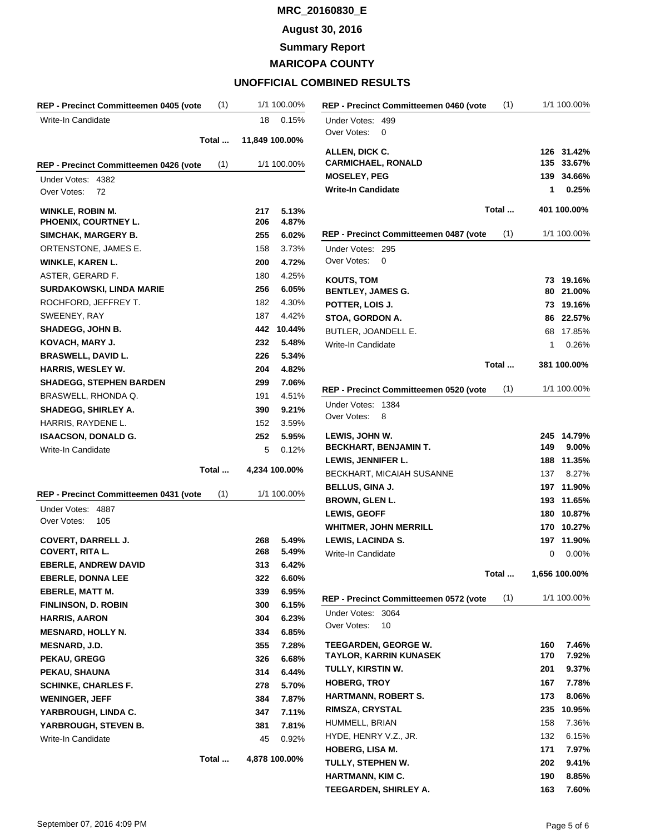**August 30, 2016**

**Summary Report**

**MARICOPA COUNTY**

| REP - Precinct Committeemen 0405 (vote     | (1)   |      | 1/1 100.00%    |
|--------------------------------------------|-------|------|----------------|
| Write-In Candidate                         |       | 18   | 0.15%          |
|                                            | Total |      | 11,849 100.00% |
| REP - Precinct Committeemen 0426 (vote     | (1)   |      | 1/1 100.00%    |
| 4382<br>Under Votes:                       |       |      |                |
| Over Votes:<br>72                          |       |      |                |
| <b>WINKLE, ROBIN M.</b>                    |       | 217  | 5.13%          |
| PHOENIX, COURTNEY L.                       |       | 206  | 4.87%          |
| SIMCHAK, MARGERY B.                        |       | 255  | 6.02%          |
| ORTENSTONE, JAMES E.                       |       | 158  | 3.73%          |
| <b>WINKLE, KAREN L.</b>                    |       | 200  | 4.72%          |
| ASTER, GERARD F.                           |       | 180  | 4.25%          |
| <b>SURDAKOWSKI, LINDA MARIE</b>            |       | 256  | 6.05%          |
| ROCHFORD, JEFFREY T.                       |       | 182  | 4.30%          |
| SWEENEY, RAY                               |       | 187  | 4.42%          |
| <b>SHADEGG, JOHN B.</b>                    |       | 442  | 10.44%         |
| KOVACH, MARY J.                            |       | 232  | 5.48%          |
| <b>BRASWELL, DAVID L.</b>                  |       | 226  | 5.34%          |
| HARRIS, WESLEY W.                          |       | 204  | 4.82%          |
| <b>SHADEGG, STEPHEN BARDEN</b>             |       | 299  | 7.06%          |
| BRASWELL, RHONDA Q.                        |       | 191  | 4.51%          |
| <b>SHADEGG, SHIRLEY A.</b>                 |       | 390  | 9.21%          |
| HARRIS, RAYDENE L.                         |       | 152  | 3.59%          |
| <b>ISAACSON, DONALD G.</b>                 |       | 252  | 5.95%          |
| Write-In Candidate                         |       | 5    | 0.12%          |
|                                            | Total |      | 4,234 100.00%  |
| REP - Precinct Committeemen 0431 (vote     | (1)   |      | 1/1 100.00%    |
| Under Votes:<br>4887<br>Over Votes:<br>105 |       |      |                |
| <b>COVERT, DARRELL J.</b>                  |       | 268. | 5.49%          |
| <b>COVERT, RITA L.</b>                     |       | 268  | 5.49%          |
| <b>EBERLE, ANDREW DAVID</b>                |       | 313  | 6.42%          |
| <b>EBERLE, DONNA LEE</b>                   |       | 322  | 6.60%          |
| <b>EBERLE, MATT M.</b>                     |       | 339  | 6.95%          |
| <b>FINLINSON, D. ROBIN</b>                 |       | 300  | 6.15%          |
| <b>HARRIS, AARON</b>                       |       | 304  | 6.23%          |
| <b>MESNARD, HOLLY N.</b>                   |       | 334  | $6.85\%$       |
| MESNARD, J.D.                              |       | 355  | 7.28%          |
| PEKAU, GREGG                               |       | 326  | 6.68%          |
| PEKAU, SHAUNA                              |       | 314  | 6.44%          |
| <b>SCHINKE, CHARLES F.</b>                 |       | 278  | 5.70%          |
| <b>WENINGER, JEFF</b>                      |       | 384  | 7.87%          |
| YARBROUGH, LINDA C.                        |       | 347  | 7.11%          |
| YARBROUGH, STEVEN B.                       |       | 381  | 7.81%          |
| Write-In Candidate                         |       | 45   | 0.92%          |
|                                            | Total |      | 4,878 100.00%  |

| REP - Precinct Committeemen 0460 (vote   | (1)   |     | 1/1 100.00%   |
|------------------------------------------|-------|-----|---------------|
| Under Votes:<br>499                      |       |     |               |
| Over Votes:<br>0                         |       |     |               |
| ALLEN, DICK C.                           |       |     | 126 31.42%    |
| <b>CARMICHAEL, RONALD</b>                |       | 135 | 33.67%        |
| <b>MOSELEY, PEG</b>                      |       | 139 | 34.66%        |
| <b>Write-In Candidate</b>                |       | 1   | 0.25%         |
|                                          |       |     |               |
|                                          | Total |     | 401 100.00%   |
| REP - Precinct Committeemen 0487 (vote   | (1)   |     | 1/1 100.00%   |
| Under Votes:<br>295                      |       |     |               |
| Over Votes:<br>0                         |       |     |               |
| <b>KOUTS, TOM</b>                        |       | 73  | 19.16%        |
| <b>BENTLEY, JAMES G.</b>                 |       | 80  | 21.00%        |
| POTTER, LOIS J.                          |       | 73  | 19.16%        |
| STOA, GORDON A.                          |       |     | 86 22.57%     |
| BUTLER, JOANDELL E.                      |       | 68  | 17.85%        |
| Write-In Candidate                       |       | 1   | 0.26%         |
|                                          |       |     |               |
|                                          | Total |     | 381 100.00%   |
|                                          |       |     |               |
| REP - Precinct Committeemen 0520 (vote   | (1)   |     | 1/1 100.00%   |
| 1384<br>Under Votes:<br>Over Votes:<br>8 |       |     |               |
|                                          |       |     |               |
| LEWIS, JOHN W.                           |       |     | 245 14.79%    |
| <b>BECKHART, BENJAMIN T.</b>             |       | 149 | $9.00\%$      |
| LEWIS, JENNIFER L.                       |       | 188 | 11.35%        |
| BECKHART, MICAIAH SUSANNE                |       | 137 | 8.27%         |
| <b>BELLUS, GINA J.</b>                   |       |     | 197 11.90%    |
| <b>BROWN, GLEN L.</b>                    |       | 193 | 11.65%        |
| <b>LEWIS, GEOFF</b>                      |       | 180 | 10.87%        |
| <b>WHITMER, JOHN MERRILL</b>             |       | 170 | 10.27%        |
| <b>LEWIS, LACINDA S.</b>                 |       | 197 | 11.90%        |
| Write-In Candidate                       |       | 0   | $0.00\%$      |
|                                          |       |     |               |
|                                          | Total |     | 1,656 100.00% |
| REP - Precinct Committeemen 0572 (vote   | (1)   |     | 1/1 100.00%   |
| Under Votes:<br>3064                     |       |     |               |
| Over Votes:<br>10                        |       |     |               |
| <b>TEEGARDEN, GEORGE W.</b>              |       | 160 | 7.46%         |
| <b>TAYLOR, KARRIN KUNASEK</b>            |       | 170 | 7.92%         |
| TULLY, KIRSTIN W.                        |       | 201 | 9.37%         |
| <b>HOBERG, TROY</b>                      |       | 167 | 7.78%         |
| HARTMANN, ROBERT S.                      |       | 173 | 8.06%         |
|                                          |       |     |               |
| RIMSZA, CRYSTAL                          |       | 235 | 10.95%        |
| HUMMELL, BRIAN                           |       | 158 | 7.36%         |
| HYDE, HENRY V.Z., JR.                    |       | 132 | 6.15%         |
| <b>HOBERG, LISA M.</b>                   |       | 171 | 7.97%         |
| TULLY, STEPHEN W.                        |       | 202 | 9.41%         |
| HARTMANN, KIM C.                         |       | 190 | 8.85%         |
| TEEGARDEN, SHIRLEY A.                    |       | 163 | 7.60%         |